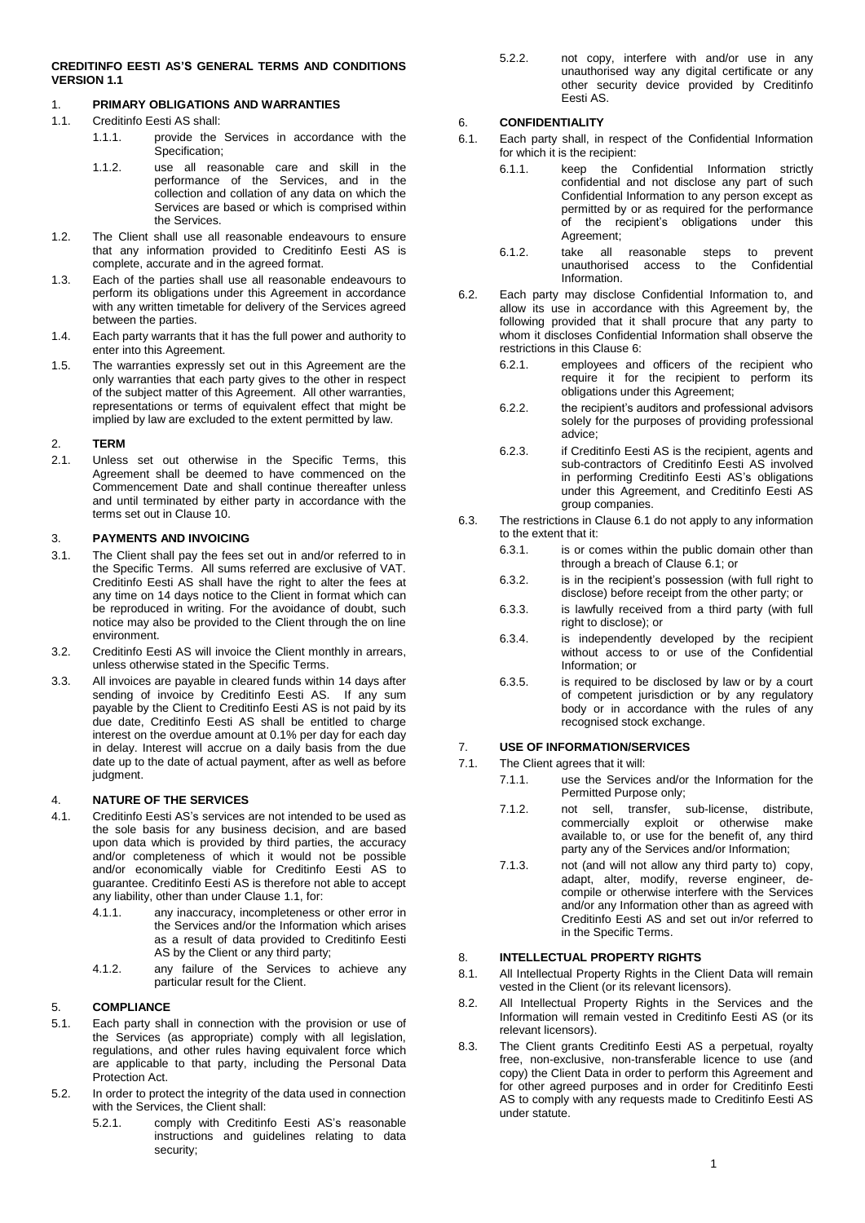#### **CREDITINFO EESTI AS'S GENERAL TERMS AND CONDITIONS VERSION 1.1**

# 1. **PRIMARY OBLIGATIONS AND WARRANTIES**

- <span id="page-0-0"></span>1.1. Creditinfo Eesti AS shall:
	- 1.1.1. provide the Services in accordance with the Specification;
		- 1.1.2. use all reasonable care and skill in the performance of the Services, and in the collection and collation of any data on which the Services are based or which is comprised within the Services.
- 1.2. The Client shall use all reasonable endeavours to ensure that any information provided to Creditinfo Eesti AS is complete, accurate and in the agreed format.
- 1.3. Each of the parties shall use all reasonable endeavours to perform its obligations under this Agreement in accordance with any written timetable for delivery of the Services agreed between the parties.
- 1.4. Each party warrants that it has the full power and authority to enter into this Agreement.
- 1.5. The warranties expressly set out in this Agreement are the only warranties that each party gives to the other in respect of the subject matter of this Agreement. All other warranties, representations or terms of equivalent effect that might be implied by law are excluded to the extent permitted by law.

#### 2. **TERM**

2.1. Unless set out otherwise in the Specific Terms, this Agreement shall be deemed to have commenced on the Commencement Date and shall continue thereafter unless and until terminated by either party in accordance with the terms set out in Clause 10.

#### 3. **PAYMENTS AND INVOICING**

- 3.1. The Client shall pay the fees set out in and/or referred to in the Specific Terms. All sums referred are exclusive of VAT. Creditinfo Eesti AS shall have the right to alter the fees at any time on 14 days notice to the Client in format which can be reproduced in writing. For the avoidance of doubt, such notice may also be provided to the Client through the on line environment.
- 3.2. Creditinfo Eesti AS will invoice the Client monthly in arrears, unless otherwise stated in the Specific Terms.
- 3.3. All invoices are payable in cleared funds within 14 days after sending of invoice by Creditinfo Eesti AS. If any sum payable by the Client to Creditinfo Eesti AS is not paid by its due date, Creditinfo Eesti AS shall be entitled to charge interest on the overdue amount at 0.1% per day for each day in delay. Interest will accrue on a daily basis from the due date up to the date of actual payment, after as well as before judgment.

### 4. **NATURE OF THE SERVICES**

- 4.1. Creditinfo Eesti AS's services are not intended to be used as the sole basis for any business decision, and are based upon data which is provided by third parties, the accuracy and/or completeness of which it would not be possible and/or economically viable for Creditinfo Eesti AS to guarantee. Creditinfo Eesti AS is therefore not able to accept any liability, other than under Claus[e 1.1,](#page-0-0) for:
	- 4.1.1. any inaccuracy, incompleteness or other error in the Services and/or the Information which arises as a result of data provided to Creditinfo Eesti AS by the Client or any third party;
	- 4.1.2. any failure of the Services to achieve any particular result for the Client.

# 5. **COMPLIANCE**

- 5.1. Each party shall in connection with the provision or use of the Services (as appropriate) comply with all legislation, regulations, and other rules having equivalent force which are applicable to that party, including the Personal Data Protection Act.
- 5.2. In order to protect the integrity of the data used in connection with the Services, the Client shall:
	- 5.2.1. comply with Creditinfo Eesti AS's reasonable instructions and guidelines relating to data security;

5.2.2. not copy, interfere with and/or use in any unauthorised way any digital certificate or any other security device provided by Creditinfo Eesti AS.

### <span id="page-0-1"></span>6. **CONFIDENTIALITY**

- <span id="page-0-2"></span>6.1. Each party shall, in respect of the Confidential Information for which it is the recipient:
	- 6.1.1. keep the Confidential Information strictly confidential and not disclose any part of such Confidential Information to any person except as permitted by or as required for the performance of the recipient's obligations under this Agreement;
	- 6.1.2. take all reasonable steps to prevent unauthorised access to the Confidential Information.
- 6.2. Each party may disclose Confidential Information to, and allow its use in accordance with this Agreement by, the following provided that it shall procure that any party to whom it discloses Confidential Information shall observe the restrictions in this Claus[e 6:](#page-0-1)
	- 6.2.1. employees and officers of the recipient who require it for the recipient to perform its obligations under this Agreement;
	- 6.2.2. the recipient's auditors and professional advisors solely for the purposes of providing professional advice;
	- 6.2.3. if Creditinfo Eesti AS is the recipient, agents and sub-contractors of Creditinfo Eesti AS involved in performing Creditinfo Eesti AS's obligations under this Agreement, and Creditinfo Eesti AS group companies.
- 6.3. The restrictions in Claus[e 6.1](#page-0-2) do not apply to any information to the extent that it:
	- 6.3.1. is or comes within the public domain other than through a breach of Claus[e 6.1;](#page-0-2) or
	- 6.3.2. is in the recipient's possession (with full right to disclose) before receipt from the other party; or
	- 6.3.3. is lawfully received from a third party (with full right to disclose); or
	- 6.3.4. is independently developed by the recipient without access to or use of the Confidential Information; or
	- 6.3.5. is required to be disclosed by law or by a court of competent jurisdiction or by any regulatory body or in accordance with the rules of any recognised stock exchange.

### 7. **USE OF INFORMATION/SERVICES**

- <span id="page-0-3"></span>7.1. The Client agrees that it will:
	- 7.1.1. use the Services and/or the Information for the Permitted Purpose only;
		- 7.1.2. not sell, transfer, sub-license, distribute, commercially exploit or otherwise make available to, or use for the benefit of, any third party any of the Services and/or Information;
		- 7.1.3. not (and will not allow any third party to) copy, adapt, alter, modify, reverse engineer, decompile or otherwise interfere with the Services and/or any Information other than as agreed with Creditinfo Eesti AS and set out in/or referred to in the Specific Terms.

#### 8. **INTELLECTUAL PROPERTY RIGHTS**

- 8.1. All Intellectual Property Rights in the Client Data will remain vested in the Client (or its relevant licensors).
- 8.2. All Intellectual Property Rights in the Services and the Information will remain vested in Creditinfo Eesti AS (or its relevant licensors).
- 8.3. The Client grants Creditinfo Eesti AS a perpetual, royalty free, non-exclusive, non-transferable licence to use (and copy) the Client Data in order to perform this Agreement and for other agreed purposes and in order for Creditinfo Eesti AS to comply with any requests made to Creditinfo Eesti AS under statute.